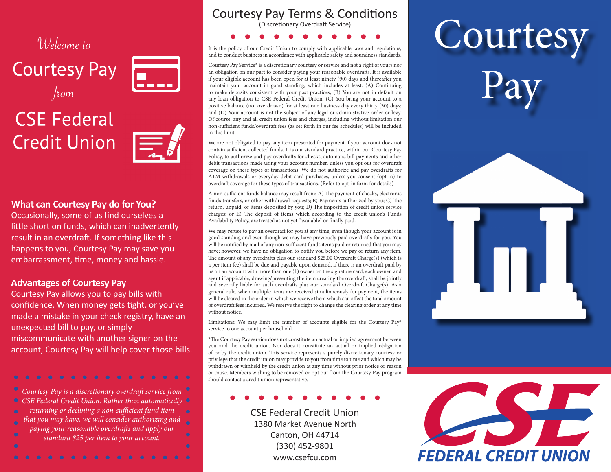# Welcome to

**Courtesy Pay**  $f<sub>tom</sub>$ 



# **CSE Federal Credit Union**



#### What can Courtesy Pay do for You?

Occasionally, some of us find ourselves a little short on funds, which can inadvertently result in an overdraft. If something like this happens to you, Courtesy Pay may save you embarrassment, time, money and hassle.

#### **Advantages of Courtesy Pay**

Courtesy Pay allows you to pay bills with confidence. When money gets tight, or you've made a mistake in your check registry, have an unexpected bill to pay, or simply miscommunicate with another signer on the account, Courtesy Pay will help cover those bills.

Courtesy Pay is a discretionary overdraft service from  $\bullet$ CSE Federal Credit Union. Rather than automatically  $\bullet$ returning or declining a non-sufficient fund item that you may have, we will consider authorizing and paying your reasonable overdrafs and apply our standard \$25 per item to your account.

## Courtesy Pay Terms & Conditions

(Discretionary Overdraft Service)

It is the policy of our Credit Union to comply with applicable laws and regulations, and to conduct business in accordance with applicable safety and soundness standards.

Courtesy Pay Service\* is a discretionary courtesy or service and not a right of yours nor an obligation on our part to consider paying your reasonable overdrafs. It is available if your eligible account has been open for at least ninety (90) days and thereafer you maintain your account in good standing, which includes at least: (A) Continuing to make deposits consistent with your past practices; (B) You are not in default on any loan obligation to CSE Federal Credit Union; (C) You bring your account to a positive balance (not overdrawn) for at least one business day every thirty (30) days; and (D) Your account is not the subject of any legal or administrative order or levy. Of course, any and all credit union fees and charges, including without limitation our non-sufficient funds/overdraft fees (as set forth in our fee schedules) will be included in this limit.

We are not obligated to pay any item presented for payment if your account does not contain sufficient collected funds. It is our standard practice, within our Courtesy Pay Policy, to authorize and pay overdrafs for checks, automatic bill payments and other debit transactions made using your account number, unless you opt out for overdraf coverage on these types of transactions. We do not authorize and pay overdrafs for ATM withdrawals or everyday debit card purchases, unless you consent (opt-in) to overdraft coverage for these types of transactions. (Refer to opt-in form for details)

A non-sufficient funds balance may result from: A) The payment of checks, electronic funds transfers, or other withdrawal requests; B) Payments authorized by you; C) The return, unpaid, of items deposited by you; D) The imposition of credit union service charges; or E) The deposit of items which according to the credit union's Funds Availability Policy, are treated as not yet "available" or fnally paid.

We may refuse to pay an overdraft for you at any time, even though your account is in good standing and even though we may have previously paid overdrafs for you. You will be notified by mail of any non-sufficient funds items paid or returned that you may have; however, we have no obligation to notify you before we pay or return any item. The amount of any overdrafts plus our standard \$25.00 Overdraft Charge(s) (which is a per item fee) shall be due and payable upon demand. If there is an overdraft paid by us on an account with more than one (1) owner on the signature card, each owner, and agent if applicable, drawing/presenting the item creating the overdraft, shall be jointly and severally liable for such overdrafts plus our standard Overdraft Charge(s). As a general rule, when multiple items are received simultaneously for payment, the items will be cleared in the order in which we receive them which can afect the total amount of overdraft fees incurred. We reserve the right to change the clearing order at any time without notice.

Limitations: We may limit the number of accounts eligible for the Courtesy Pay\* service to one account per household.

\*The Courtesy Pay service does not constitute an actual or implied agreement between you and the credit union. Nor does it constitute an actual or implied obligation of or by the credit union. This service represents a purely discretionary courtesy or privilege that the credit union may provide to you from time to time and which may be withdrawn or withheld by the credit union at any time without prior notice or reason or cause. Members wishing to be removed or opt out from the Courtesy Pay program should contact a credit union representative.

CSE Federal Credit Union 1380 Market Avenue North Canton, OH 44714  $(330)$  452-9801 www.csefcu.com